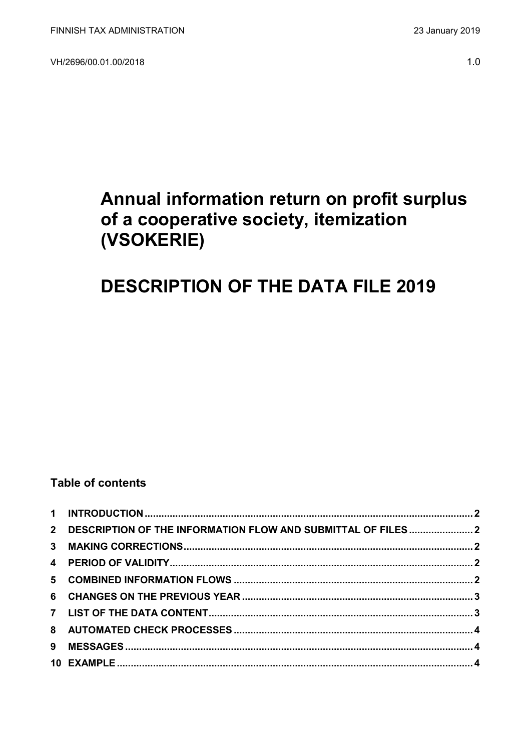VH/2696/00.01.00/2018

# Annual information return on profit surplus of a cooperative society, itemization (VSOKERIE)

# **DESCRIPTION OF THE DATA FILE 2019**

## **Table of contents**

| 2 DESCRIPTION OF THE INFORMATION FLOW AND SUBMITTAL OF FILES2 |  |
|---------------------------------------------------------------|--|
|                                                               |  |
|                                                               |  |
|                                                               |  |
|                                                               |  |
|                                                               |  |
|                                                               |  |
|                                                               |  |
|                                                               |  |
|                                                               |  |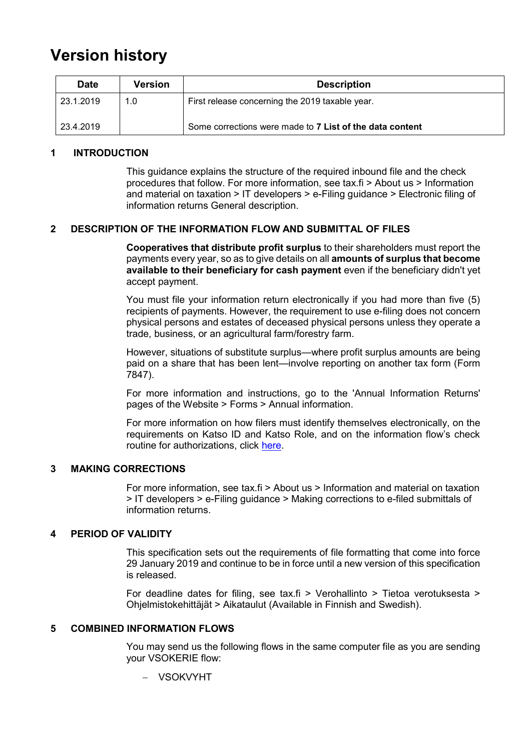# **Version history**

| <b>Date</b> | <b>Version</b> | <b>Description</b>                                       |
|-------------|----------------|----------------------------------------------------------|
| 23.1.2019   | 1.0            | First release concerning the 2019 taxable year.          |
| 23.4.2019   |                | Some corrections were made to 7 List of the data content |

#### <span id="page-1-0"></span>**1 INTRODUCTION**

This guidance explains the structure of the required inbound file and the check procedures that follow. For more information, see tax.fi > About us > Information and material on taxation > IT developers > e-Filing guidance > Electronic filing of information returns General description.

#### <span id="page-1-1"></span>**2 DESCRIPTION OF THE INFORMATION FLOW AND SUBMITTAL OF FILES**

**Cooperatives that distribute profit surplus** to their shareholders must report the payments every year, so as to give details on all **amounts of surplus that become available to their beneficiary for cash payment** even if the beneficiary didn't yet accept payment.

You must file your information return electronically if you had more than five (5) recipients of payments. However, the requirement to use e-filing does not concern physical persons and estates of deceased physical persons unless they operate a trade, business, or an agricultural farm/forestry farm.

However, situations of substitute surplus—where profit surplus amounts are being paid on a share that has been lent—involve reporting on another tax form (Form 7847).

For more information and instructions, go to the 'Annual Information Returns' pages of the Website > Forms > Annual information.

For more information on how filers must identify themselves electronically, on the requirements on Katso ID and Katso Role, and on the information flow's check routine for authorizations, click [here.](https://www.ilmoitin.fi/webtamo/sivut/IlmoituslajiRoolit?kieli=en&tv=VSOKERIE)

#### <span id="page-1-2"></span>**3 MAKING CORRECTIONS**

For more information, see tax.fi > About us > Information and material on taxation > IT developers > e-Filing guidance > Making corrections to e-filed submittals of information returns.

#### <span id="page-1-3"></span>**4 PERIOD OF VALIDITY**

This specification sets out the requirements of file formatting that come into force 29 January 2019 and continue to be in force until a new version of this specification is released.

For deadline dates for filing, see tax.fi > Verohallinto > Tietoa verotuksesta > Ohjelmistokehittäjät > Aikataulut (Available in Finnish and Swedish).

#### <span id="page-1-4"></span>**5 COMBINED INFORMATION FLOWS**

You may send us the following flows in the same computer file as you are sending your VSOKERIE flow:

VSOKVYHT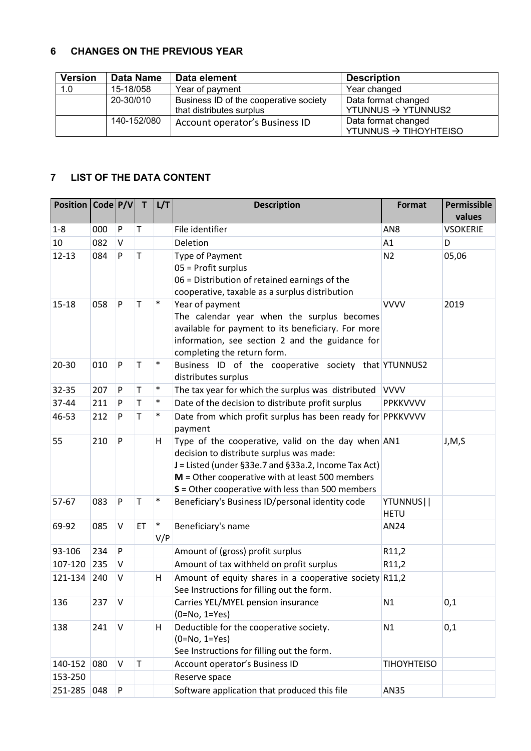#### <span id="page-2-0"></span>**6 CHANGES ON THE PREVIOUS YEAR**

| <b>Version</b> | <b>Data Name</b> | Data element                                                       | <b>Description</b>                                    |
|----------------|------------------|--------------------------------------------------------------------|-------------------------------------------------------|
| 1.0            | 15-18/058        | Year of payment                                                    | Year changed                                          |
|                | 20-30/010        | Business ID of the cooperative society<br>that distributes surplus | Data format changed<br>YTUNNUS $\rightarrow$ YTUNNUS2 |
|                | 140-152/080      | Account operator's Business ID                                     | Data format changed<br>YTUNNUS → TIHOYHTEISO          |

### <span id="page-2-1"></span>**7 LIST OF THE DATA CONTENT**

| Position   Code   P/V |     |           | T           | L/T    | <b>Description</b>                                                             | Format                   | <b>Permissible</b><br>values |
|-----------------------|-----|-----------|-------------|--------|--------------------------------------------------------------------------------|--------------------------|------------------------------|
| $1 - 8$               | 000 | P         | T           |        | File identifier                                                                | AN8                      | <b>VSOKERIE</b>              |
| 10                    | 082 | V         |             |        | Deletion                                                                       | A1                       | D                            |
| $12 - 13$             | 084 | P         | $\mathsf T$ |        | Type of Payment                                                                | N <sub>2</sub>           | 05,06                        |
|                       |     |           |             |        | 05 = Profit surplus                                                            |                          |                              |
|                       |     |           |             |        | 06 = Distribution of retained earnings of the                                  |                          |                              |
|                       |     |           |             |        | cooperative, taxable as a surplus distribution                                 |                          |                              |
| $15 - 18$             | 058 | P         | Τ           | $\ast$ | Year of payment                                                                | <b>VVVV</b>              | 2019                         |
|                       |     |           |             |        | The calendar year when the surplus becomes                                     |                          |                              |
|                       |     |           |             |        | available for payment to its beneficiary. For more                             |                          |                              |
|                       |     |           |             |        | information, see section 2 and the guidance for<br>completing the return form. |                          |                              |
| 20-30                 | 010 | P         | Τ           | $\ast$ | Business ID of the cooperative society that YTUNNUS2                           |                          |                              |
|                       |     |           |             |        | distributes surplus                                                            |                          |                              |
| 32-35                 | 207 | P         | Τ           | $\ast$ | The tax year for which the surplus was distributed                             | <b>VVVV</b>              |                              |
| 37-44                 | 211 | P         | T           | $\ast$ | Date of the decision to distribute profit surplus                              | <b>PPKKVVVV</b>          |                              |
| 46-53                 | 212 | P         | T           | $\ast$ | Date from which profit surplus has been ready for PPKKVVVV                     |                          |                              |
|                       |     |           |             |        | payment                                                                        |                          |                              |
| 55                    | 210 | P         |             | Н      | Type of the cooperative, valid on the day when AN1                             |                          | J, M, S                      |
|                       |     |           |             |        | decision to distribute surplus was made:                                       |                          |                              |
|                       |     |           |             |        | J = Listed (under §33e.7 and §33a.2, Income Tax Act)                           |                          |                              |
|                       |     |           |             |        | $M =$ Other cooperative with at least 500 members                              |                          |                              |
| 57-67                 | 083 | ${\sf P}$ | $\mathsf T$ | $\ast$ | $S =$ Other cooperative with less than 500 members                             |                          |                              |
|                       |     |           |             |        | Beneficiary's Business ID/personal identity code                               | YTUNNUS  <br><b>HETU</b> |                              |
| 69-92                 | 085 | V         | ET          | $\ast$ | Beneficiary's name                                                             | AN24                     |                              |
|                       |     |           |             | V/P    |                                                                                |                          |                              |
| 93-106                | 234 | P         |             |        | Amount of (gross) profit surplus                                               | R11,2                    |                              |
| 107-120               | 235 | V         |             |        | Amount of tax withheld on profit surplus                                       | R11,2                    |                              |
| 121-134               | 240 | V         |             | Н      | Amount of equity shares in a cooperative society R11,2                         |                          |                              |
|                       |     |           |             |        | See Instructions for filling out the form.                                     |                          |                              |
| 136                   | 237 | V         |             |        | Carries YEL/MYEL pension insurance                                             | N1                       | 0,1                          |
|                       |     |           |             |        | $(0=No, 1=Yes)$                                                                |                          |                              |
| 138                   | 241 | V         |             | Н      | Deductible for the cooperative society.                                        | N1                       | 0,1                          |
|                       |     |           |             |        | $(0=No, 1=Yes)$                                                                |                          |                              |
| 140-152               | 080 | V         | T           |        | See Instructions for filling out the form.<br>Account operator's Business ID   | <b>TIHOYHTEISO</b>       |                              |
| 153-250               |     |           |             |        | Reserve space                                                                  |                          |                              |
|                       |     |           |             |        |                                                                                |                          |                              |
| 251-285               | 048 | P         |             |        | Software application that produced this file                                   | AN35                     |                              |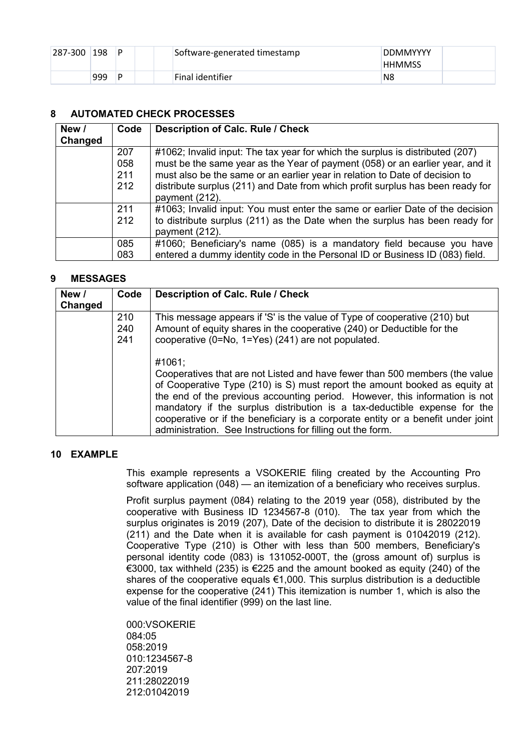| 287-300 | 198 | D | Software-generated timestamp | <b>DDMMYYYY</b><br><b>HHMMSS</b> |  |
|---------|-----|---|------------------------------|----------------------------------|--|
|         | 999 | D | Final identifier             | N8                               |  |

#### <span id="page-3-0"></span>**8 AUTOMATED CHECK PROCESSES**

| New /   | Code | <b>Description of Calc. Rule / Check</b>                                       |
|---------|------|--------------------------------------------------------------------------------|
| Changed |      |                                                                                |
|         | 207  | #1062; Invalid input: The tax year for which the surplus is distributed (207)  |
|         | 058  | must be the same year as the Year of payment (058) or an earlier year, and it  |
|         | 211  | must also be the same or an earlier year in relation to Date of decision to    |
|         | 212  | distribute surplus (211) and Date from which profit surplus has been ready for |
|         |      | payment (212).                                                                 |
|         | 211  | #1063; Invalid input: You must enter the same or earlier Date of the decision  |
|         | 212  | to distribute surplus (211) as the Date when the surplus has been ready for    |
|         |      | payment (212).                                                                 |
|         | 085  | #1060; Beneficiary's name (085) is a mandatory field because you have          |
|         | 083  | entered a dummy identity code in the Personal ID or Business ID (083) field.   |

#### <span id="page-3-1"></span>**9 MESSAGES**

| New /<br>Changed | Code              | Description of Calc. Rule / Check                                                                                                                                                                                                                                                                                                                                                                                                                                                 |
|------------------|-------------------|-----------------------------------------------------------------------------------------------------------------------------------------------------------------------------------------------------------------------------------------------------------------------------------------------------------------------------------------------------------------------------------------------------------------------------------------------------------------------------------|
|                  | 210<br>240<br>241 | This message appears if 'S' is the value of Type of cooperative (210) but<br>Amount of equity shares in the cooperative (240) or Deductible for the<br>cooperative (0=No, 1=Yes) (241) are not populated.                                                                                                                                                                                                                                                                         |
|                  |                   | #1061;<br>Cooperatives that are not Listed and have fewer than 500 members (the value<br>of Cooperative Type (210) is S) must report the amount booked as equity at<br>the end of the previous accounting period. However, this information is not<br>mandatory if the surplus distribution is a tax-deductible expense for the<br>cooperative or if the beneficiary is a corporate entity or a benefit under joint<br>administration. See Instructions for filling out the form. |

### <span id="page-3-2"></span>**10 EXAMPLE**

This example represents a VSOKERIE filing created by the Accounting Pro software application (048) — an itemization of a beneficiary who receives surplus.

Profit surplus payment (084) relating to the 2019 year (058), distributed by the cooperative with Business ID 1234567-8 (010). The tax year from which the surplus originates is 2019 (207), Date of the decision to distribute it is 28022019 (211) and the Date when it is available for cash payment is 01042019 (212). Cooperative Type (210) is Other with less than 500 members, Beneficiary's personal identity code (083) is 131052-000T, the (gross amount of) surplus is €3000, tax withheld (235) is €225 and the amount booked as equity (240) of the shares of the cooperative equals €1,000. This surplus distribution is a deductible expense for the cooperative (241) This itemization is number 1, which is also the value of the final identifier (999) on the last line.

000:VSOKERIE 084:05 058:2019 010:1234567-8 207:2019 211:28022019 212:01042019